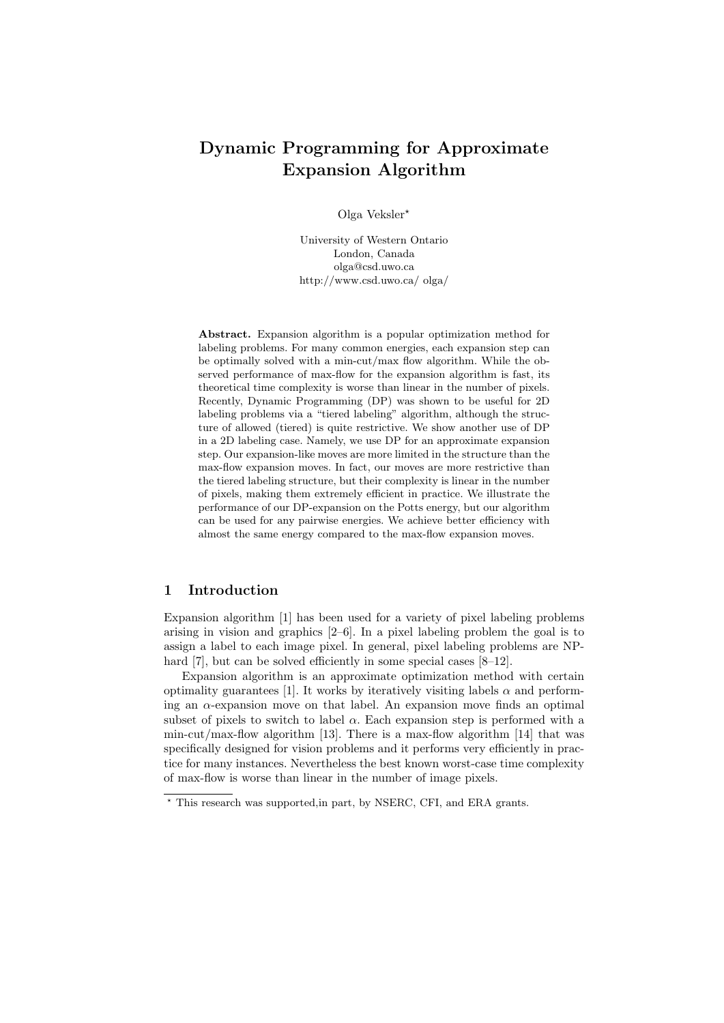# Dynamic Programming for Approximate Expansion Algorithm

Olga Veksler?

University of Western Ontario London, Canada olga@csd.uwo.ca http://www.csd.uwo.ca/ olga/

Abstract. Expansion algorithm is a popular optimization method for labeling problems. For many common energies, each expansion step can be optimally solved with a min-cut/max flow algorithm. While the observed performance of max-flow for the expansion algorithm is fast, its theoretical time complexity is worse than linear in the number of pixels. Recently, Dynamic Programming (DP) was shown to be useful for 2D labeling problems via a "tiered labeling" algorithm, although the structure of allowed (tiered) is quite restrictive. We show another use of DP in a 2D labeling case. Namely, we use DP for an approximate expansion step. Our expansion-like moves are more limited in the structure than the max-flow expansion moves. In fact, our moves are more restrictive than the tiered labeling structure, but their complexity is linear in the number of pixels, making them extremely efficient in practice. We illustrate the performance of our DP-expansion on the Potts energy, but our algorithm can be used for any pairwise energies. We achieve better efficiency with almost the same energy compared to the max-flow expansion moves.

# 1 Introduction

Expansion algorithm [1] has been used for a variety of pixel labeling problems arising in vision and graphics [2–6]. In a pixel labeling problem the goal is to assign a label to each image pixel. In general, pixel labeling problems are NPhard [7], but can be solved efficiently in some special cases [8–12].

Expansion algorithm is an approximate optimization method with certain optimality guarantees [1]. It works by iteratively visiting labels  $\alpha$  and performing an α-expansion move on that label. An expansion move finds an optimal subset of pixels to switch to label  $\alpha$ . Each expansion step is performed with a min-cut/max-flow algorithm [13]. There is a max-flow algorithm [14] that was specifically designed for vision problems and it performs very efficiently in practice for many instances. Nevertheless the best known worst-case time complexity of max-flow is worse than linear in the number of image pixels.

<sup>?</sup> This research was supported,in part, by NSERC, CFI, and ERA grants.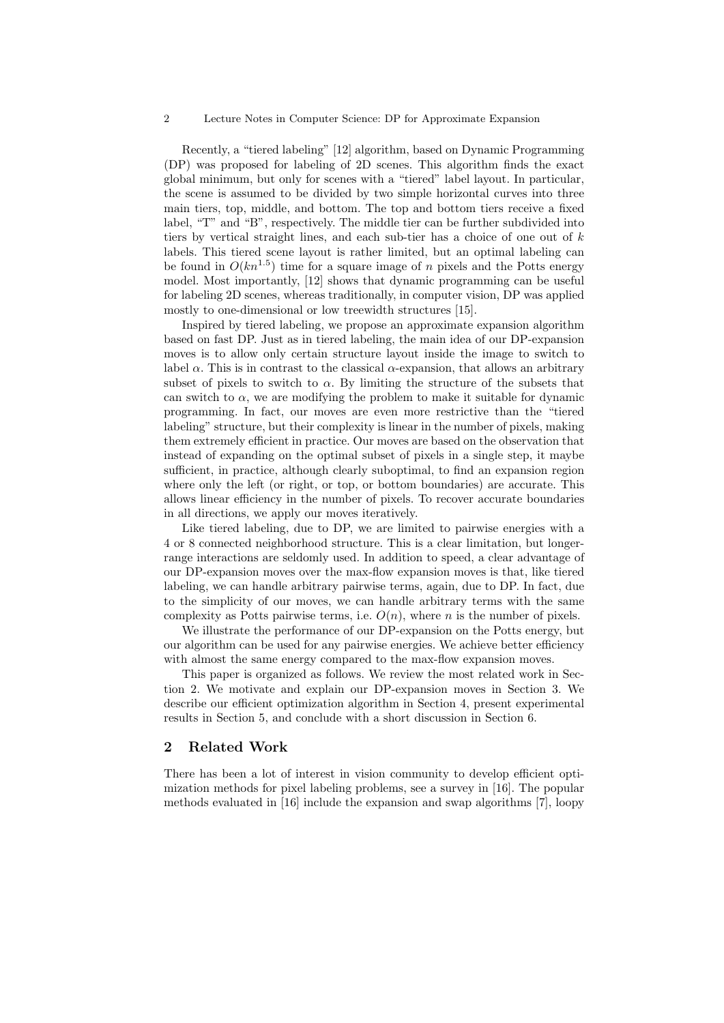Recently, a "tiered labeling" [12] algorithm, based on Dynamic Programming (DP) was proposed for labeling of 2D scenes. This algorithm finds the exact global minimum, but only for scenes with a "tiered" label layout. In particular, the scene is assumed to be divided by two simple horizontal curves into three main tiers, top, middle, and bottom. The top and bottom tiers receive a fixed label, "T" and "B", respectively. The middle tier can be further subdivided into tiers by vertical straight lines, and each sub-tier has a choice of one out of  $k$ labels. This tiered scene layout is rather limited, but an optimal labeling can be found in  $O(kn^{1.5})$  time for a square image of n pixels and the Potts energy model. Most importantly, [12] shows that dynamic programming can be useful for labeling 2D scenes, whereas traditionally, in computer vision, DP was applied mostly to one-dimensional or low treewidth structures [15].

Inspired by tiered labeling, we propose an approximate expansion algorithm based on fast DP. Just as in tiered labeling, the main idea of our DP-expansion moves is to allow only certain structure layout inside the image to switch to label  $\alpha$ . This is in contrast to the classical  $\alpha$ -expansion, that allows an arbitrary subset of pixels to switch to  $\alpha$ . By limiting the structure of the subsets that can switch to  $\alpha$ , we are modifying the problem to make it suitable for dynamic programming. In fact, our moves are even more restrictive than the "tiered labeling" structure, but their complexity is linear in the number of pixels, making them extremely efficient in practice. Our moves are based on the observation that instead of expanding on the optimal subset of pixels in a single step, it maybe sufficient, in practice, although clearly suboptimal, to find an expansion region where only the left (or right, or top, or bottom boundaries) are accurate. This allows linear efficiency in the number of pixels. To recover accurate boundaries in all directions, we apply our moves iteratively.

Like tiered labeling, due to DP, we are limited to pairwise energies with a 4 or 8 connected neighborhood structure. This is a clear limitation, but longerrange interactions are seldomly used. In addition to speed, a clear advantage of our DP-expansion moves over the max-flow expansion moves is that, like tiered labeling, we can handle arbitrary pairwise terms, again, due to DP. In fact, due to the simplicity of our moves, we can handle arbitrary terms with the same complexity as Potts pairwise terms, i.e.  $O(n)$ , where n is the number of pixels.

We illustrate the performance of our DP-expansion on the Potts energy, but our algorithm can be used for any pairwise energies. We achieve better efficiency with almost the same energy compared to the max-flow expansion moves.

This paper is organized as follows. We review the most related work in Section 2. We motivate and explain our DP-expansion moves in Section 3. We describe our efficient optimization algorithm in Section 4, present experimental results in Section 5, and conclude with a short discussion in Section 6.

## 2 Related Work

There has been a lot of interest in vision community to develop efficient optimization methods for pixel labeling problems, see a survey in [16]. The popular methods evaluated in [16] include the expansion and swap algorithms [7], loopy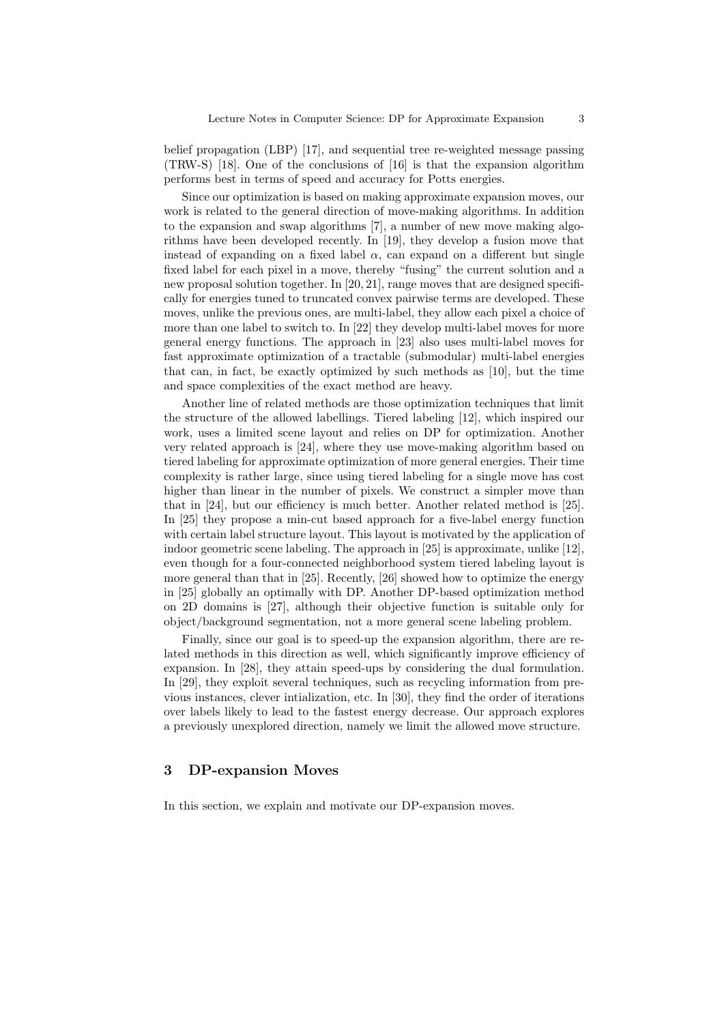belief propagation (LBP) [17], and sequential tree re-weighted message passing (TRW-S) [18]. One of the conclusions of [16] is that the expansion algorithm performs best in terms of speed and accuracy for Potts energies.

Since our optimization is based on making approximate expansion moves, our work is related to the general direction of move-making algorithms. In addition to the expansion and swap algorithms [7], a number of new move making algorithms have been developed recently. In [19], they develop a fusion move that instead of expanding on a fixed label  $\alpha$ , can expand on a different but single fixed label for each pixel in a move, thereby "fusing" the current solution and a new proposal solution together. In [20, 21], range moves that are designed specifically for energies tuned to truncated convex pairwise terms are developed. These moves, unlike the previous ones, are multi-label, they allow each pixel a choice of more than one label to switch to. In [22] they develop multi-label moves for more general energy functions. The approach in [23] also uses multi-label moves for fast approximate optimization of a tractable (submodular) multi-label energies that can, in fact, be exactly optimized by such methods as [10], but the time and space complexities of the exact method are heavy.

Another line of related methods are those optimization techniques that limit the structure of the allowed labellings. Tiered labeling [12], which inspired our work, uses a limited scene layout and relies on DP for optimization. Another very related approach is [24], where they use move-making algorithm based on tiered labeling for approximate optimization of more general energies. Their time complexity is rather large, since using tiered labeling for a single move has cost higher than linear in the number of pixels. We construct a simpler move than that in [24], but our efficiency is much better. Another related method is [25]. In [25] they propose a min-cut based approach for a five-label energy function with certain label structure layout. This layout is motivated by the application of indoor geometric scene labeling. The approach in [25] is approximate, unlike [12], even though for a four-connected neighborhood system tiered labeling layout is more general than that in [25]. Recently, [26] showed how to optimize the energy in [25] globally an optimally with DP. Another DP-based optimization method on 2D domains is [27], although their objective function is suitable only for object/background segmentation, not a more general scene labeling problem.

Finally, since our goal is to speed-up the expansion algorithm, there are related methods in this direction as well, which significantly improve efficiency of expansion. In [28], they attain speed-ups by considering the dual formulation. In [29], they exploit several techniques, such as recycling information from previous instances, clever intialization, etc. In [30], they find the order of iterations over labels likely to lead to the fastest energy decrease. Our approach explores a previously unexplored direction, namely we limit the allowed move structure.

## 3 DP-expansion Moves

In this section, we explain and motivate our DP-expansion moves.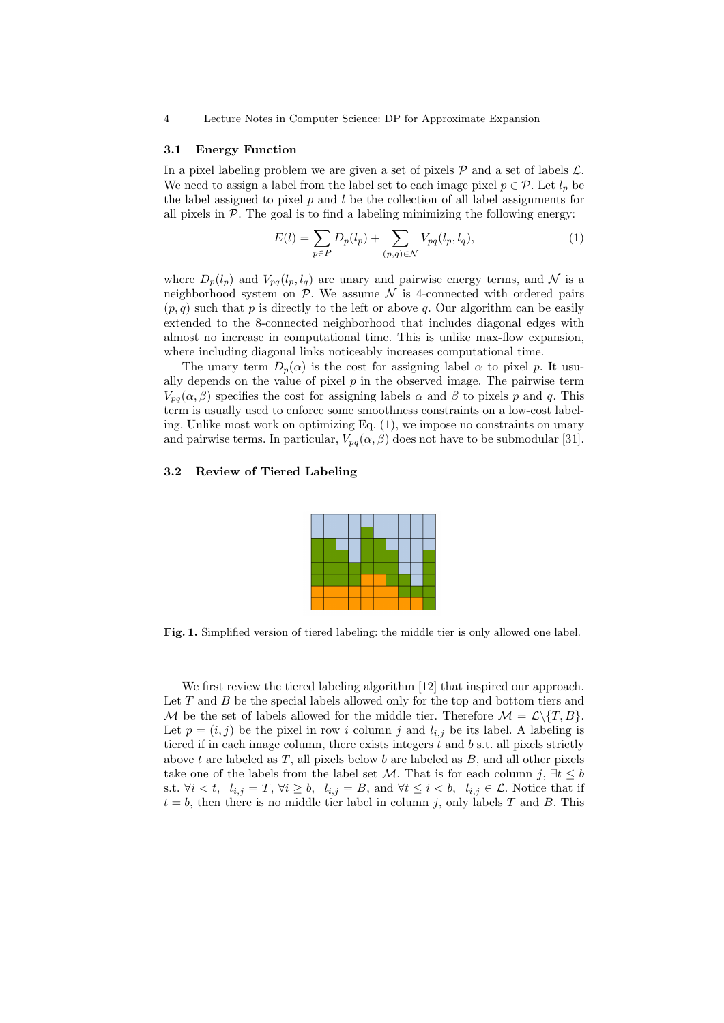#### 3.1 Energy Function

In a pixel labeling problem we are given a set of pixels  $P$  and a set of labels  $\mathcal{L}$ . We need to assign a label from the label set to each image pixel  $p \in \mathcal{P}$ . Let  $l_p$  be the label assigned to pixel  $p$  and  $l$  be the collection of all label assignments for all pixels in  $P$ . The goal is to find a labeling minimizing the following energy:

$$
E(l) = \sum_{p \in P} D_p(l_p) + \sum_{(p,q) \in \mathcal{N}} V_{pq}(l_p, l_q), \tag{1}
$$

where  $D_p(l_p)$  and  $V_{pq}(l_p, l_q)$  are unary and pairwise energy terms, and N is a neighborhood system on  $P$ . We assume  $\mathcal N$  is 4-connected with ordered pairs  $(p, q)$  such that p is directly to the left or above q. Our algorithm can be easily extended to the 8-connected neighborhood that includes diagonal edges with almost no increase in computational time. This is unlike max-flow expansion, where including diagonal links noticeably increases computational time.

The unary term  $D_n(\alpha)$  is the cost for assigning label  $\alpha$  to pixel p. It usually depends on the value of pixel  $p$  in the observed image. The pairwise term  $V_{pa}(\alpha, \beta)$  specifies the cost for assigning labels  $\alpha$  and  $\beta$  to pixels p and q. This term is usually used to enforce some smoothness constraints on a low-cost labeling. Unlike most work on optimizing Eq. (1), we impose no constraints on unary and pairwise terms. In particular,  $V_{pq}(\alpha, \beta)$  does not have to be submodular [31].

#### 3.2 Review of Tiered Labeling

Fig. 1. Simplified version of tiered labeling: the middle tier is only allowed one label.

We first review the tiered labeling algorithm [12] that inspired our approach. Let  $T$  and  $B$  be the special labels allowed only for the top and bottom tiers and M be the set of labels allowed for the middle tier. Therefore  $\mathcal{M} = \mathcal{L}\setminus\{T, B\}.$ Let  $p = (i, j)$  be the pixel in row i column j and  $l_{i,j}$  be its label. A labeling is tiered if in each image column, there exists integers  $t$  and  $b$  s.t. all pixels strictly above t are labeled as  $T$ , all pixels below b are labeled as  $B$ , and all other pixels take one of the labels from the label set M. That is for each column j,  $\exists t \leq b$ s.t.  $\forall i < t, \, l_{i,j} = T, \, \forall i \geq b, \, l_{i,j} = B, \text{ and } \forall t \leq i < b, \, l_{i,j} \in \mathcal{L}.$  Notice that if  $t = b$ , then there is no middle tier label in column j, only labels T and B. This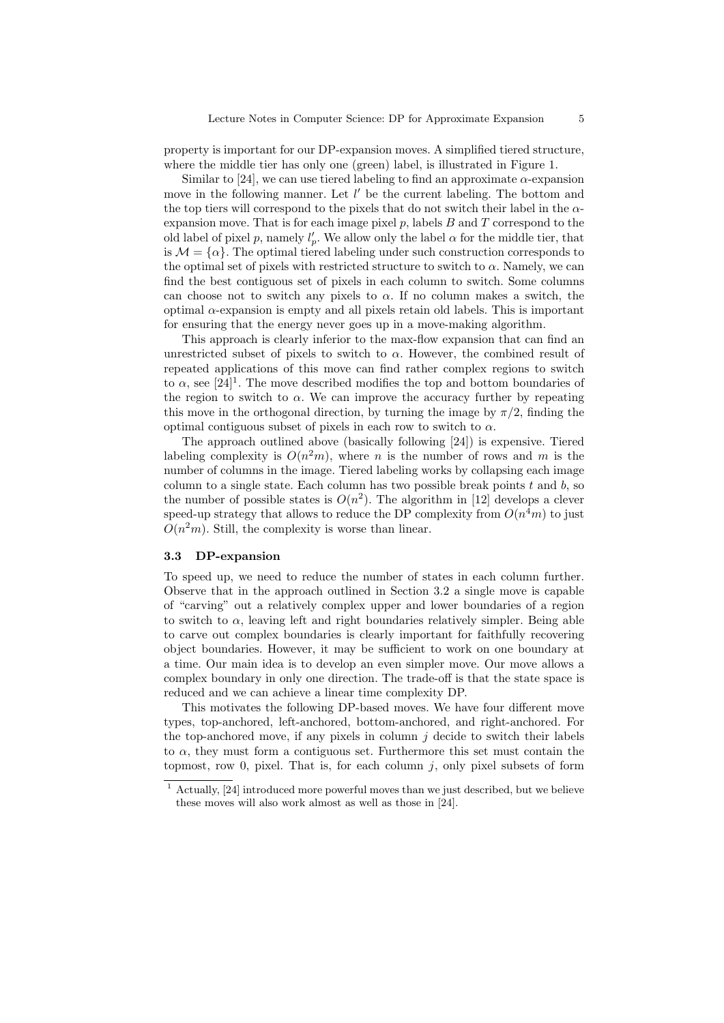property is important for our DP-expansion moves. A simplified tiered structure, where the middle tier has only one (green) label, is illustrated in Figure 1.

Similar to [24], we can use tiered labeling to find an approximate  $\alpha$ -expansion move in the following manner. Let  $l'$  be the current labeling. The bottom and the top tiers will correspond to the pixels that do not switch their label in the  $\alpha$ expansion move. That is for each image pixel  $p$ , labels  $B$  and  $T$  correspond to the old label of pixel p, namely  $l'_p$ . We allow only the label  $\alpha$  for the middle tier, that is  $\mathcal{M} = {\alpha}$ . The optimal tiered labeling under such construction corresponds to the optimal set of pixels with restricted structure to switch to  $\alpha$ . Namely, we can find the best contiguous set of pixels in each column to switch. Some columns can choose not to switch any pixels to  $\alpha$ . If no column makes a switch, the optimal  $\alpha$ -expansion is empty and all pixels retain old labels. This is important for ensuring that the energy never goes up in a move-making algorithm.

This approach is clearly inferior to the max-flow expansion that can find an unrestricted subset of pixels to switch to  $\alpha$ . However, the combined result of repeated applications of this move can find rather complex regions to switch to  $\alpha$ , see [24]<sup>1</sup>. The move described modifies the top and bottom boundaries of the region to switch to  $\alpha$ . We can improve the accuracy further by repeating this move in the orthogonal direction, by turning the image by  $\pi/2$ , finding the optimal contiguous subset of pixels in each row to switch to  $\alpha$ .

The approach outlined above (basically following [24]) is expensive. Tiered labeling complexity is  $O(n^2m)$ , where *n* is the number of rows and *m* is the number of columns in the image. Tiered labeling works by collapsing each image column to a single state. Each column has two possible break points  $t$  and  $b$ , so the number of possible states is  $O(n^2)$ . The algorithm in [12] develops a clever speed-up strategy that allows to reduce the DP complexity from  $O(n^4m)$  to just  $O(n^2m)$ . Still, the complexity is worse than linear.

## 3.3 DP-expansion

To speed up, we need to reduce the number of states in each column further. Observe that in the approach outlined in Section 3.2 a single move is capable of "carving" out a relatively complex upper and lower boundaries of a region to switch to  $\alpha$ , leaving left and right boundaries relatively simpler. Being able to carve out complex boundaries is clearly important for faithfully recovering object boundaries. However, it may be sufficient to work on one boundary at a time. Our main idea is to develop an even simpler move. Our move allows a complex boundary in only one direction. The trade-off is that the state space is reduced and we can achieve a linear time complexity DP.

This motivates the following DP-based moves. We have four different move types, top-anchored, left-anchored, bottom-anchored, and right-anchored. For the top-anchored move, if any pixels in column  $j$  decide to switch their labels to  $\alpha$ , they must form a contiguous set. Furthermore this set must contain the topmost, row 0, pixel. That is, for each column  $i$ , only pixel subsets of form

 $1$  Actually, [24] introduced more powerful moves than we just described, but we believe these moves will also work almost as well as those in [24].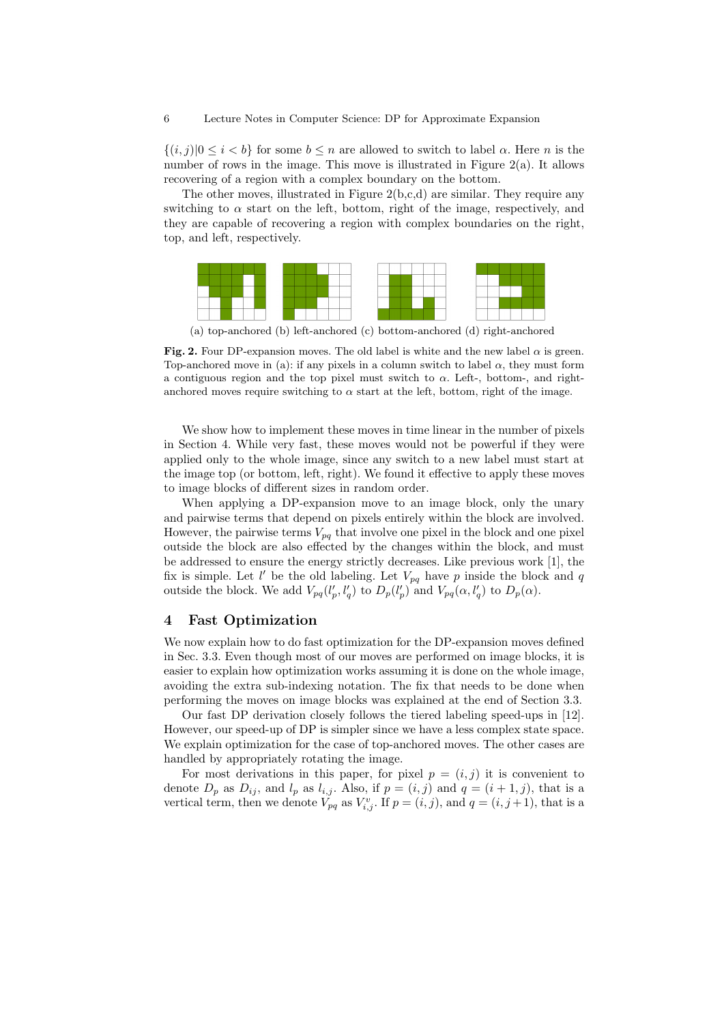$\{(i,j)|0\leq i < b\}$  for some  $b\leq n$  are allowed to switch to label  $\alpha$ . Here n is the number of rows in the image. This move is illustrated in Figure 2(a). It allows recovering of a region with a complex boundary on the bottom.

The other moves, illustrated in Figure 2(b,c,d) are similar. They require any switching to  $\alpha$  start on the left, bottom, right of the image, respectively, and they are capable of recovering a region with complex boundaries on the right, top, and left, respectively.



(a) top-anchored (b) left-anchored (c) bottom-anchored (d) right-anchored

Fig. 2. Four DP-expansion moves. The old label is white and the new label  $\alpha$  is green. Top-anchored move in (a): if any pixels in a column switch to label  $\alpha$ , they must form a contiguous region and the top pixel must switch to  $\alpha$ . Left-, bottom-, and rightanchored moves require switching to  $\alpha$  start at the left, bottom, right of the image.

We show how to implement these moves in time linear in the number of pixels in Section 4. While very fast, these moves would not be powerful if they were applied only to the whole image, since any switch to a new label must start at the image top (or bottom, left, right). We found it effective to apply these moves to image blocks of different sizes in random order.

When applying a DP-expansion move to an image block, only the unary and pairwise terms that depend on pixels entirely within the block are involved. However, the pairwise terms  $V_{pq}$  that involve one pixel in the block and one pixel outside the block are also effected by the changes within the block, and must be addressed to ensure the energy strictly decreases. Like previous work [1], the fix is simple. Let  $l'$  be the old labeling. Let  $V_{pq}$  have p inside the block and q outside the block. We add  $V_{pq}(l'_p, l'_q)$  to  $D_p(l'_p)$  and  $V_{pq}(\alpha, l'_q)$  to  $D_p(\alpha)$ .

#### 4 Fast Optimization

We now explain how to do fast optimization for the DP-expansion moves defined in Sec. 3.3. Even though most of our moves are performed on image blocks, it is easier to explain how optimization works assuming it is done on the whole image, avoiding the extra sub-indexing notation. The fix that needs to be done when performing the moves on image blocks was explained at the end of Section 3.3.

Our fast DP derivation closely follows the tiered labeling speed-ups in [12]. However, our speed-up of DP is simpler since we have a less complex state space. We explain optimization for the case of top-anchored moves. The other cases are handled by appropriately rotating the image.

For most derivations in this paper, for pixel  $p = (i, j)$  it is convenient to denote  $D_p$  as  $D_{ij}$ , and  $l_p$  as  $l_{i,j}$ . Also, if  $p = (i, j)$  and  $q = (i + 1, j)$ , that is a vertical term, then we denote  $V_{pq}$  as  $V_{i,j}^v$ . If  $p = (i, j)$ , and  $q = (i, j + 1)$ , that is a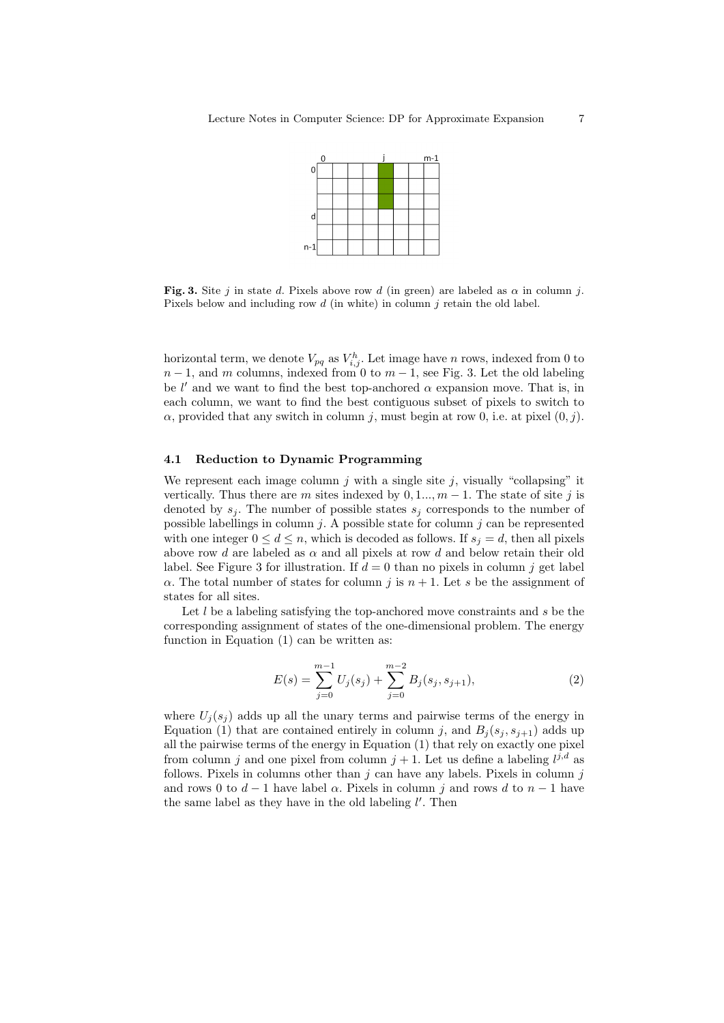

Fig. 3. Site j in state d. Pixels above row d (in green) are labeled as  $\alpha$  in column j. Pixels below and including row  $d$  (in white) in column  $j$  retain the old label.

horizontal term, we denote  $V_{pq}$  as  $V_{i,j}^h$ . Let image have n rows, indexed from 0 to  $n-1$ , and m columns, indexed from 0 to  $m-1$ , see Fig. 3. Let the old labeling be l' and we want to find the best top-anchored  $\alpha$  expansion move. That is, in each column, we want to find the best contiguous subset of pixels to switch to  $\alpha$ , provided that any switch in column j, must begin at row 0, i.e. at pixel  $(0, j)$ .

#### 4.1 Reduction to Dynamic Programming

We represent each image column  $i$  with a single site  $i$ , visually "collapsing" it vertically. Thus there are m sites indexed by  $0, 1, ..., m-1$ . The state of site j is denoted by  $s_j$ . The number of possible states  $s_j$  corresponds to the number of possible labellings in column  $j$ . A possible state for column  $j$  can be represented with one integer  $0 \leq d \leq n$ , which is decoded as follows. If  $s_i = d$ , then all pixels above row d are labeled as  $\alpha$  and all pixels at row d and below retain their old label. See Figure 3 for illustration. If  $d = 0$  than no pixels in column j get label  $\alpha$ . The total number of states for column j is  $n + 1$ . Let s be the assignment of states for all sites.

Let  $l$  be a labeling satisfying the top-anchored move constraints and  $s$  be the corresponding assignment of states of the one-dimensional problem. The energy function in Equation (1) can be written as:

$$
E(s) = \sum_{j=0}^{m-1} U_j(s_j) + \sum_{j=0}^{m-2} B_j(s_j, s_{j+1}),
$$
\n(2)

where  $U_i(s_i)$  adds up all the unary terms and pairwise terms of the energy in Equation (1) that are contained entirely in column j, and  $B_i(s_j, s_{j+1})$  adds up all the pairwise terms of the energy in Equation (1) that rely on exactly one pixel from column j and one pixel from column  $j + 1$ . Let us define a labeling  $l^{j,d}$  as follows. Pixels in columns other than  $j$  can have any labels. Pixels in column  $j$ and rows 0 to  $d-1$  have label  $\alpha$ . Pixels in column j and rows d to  $n-1$  have the same label as they have in the old labeling  $l'$ . Then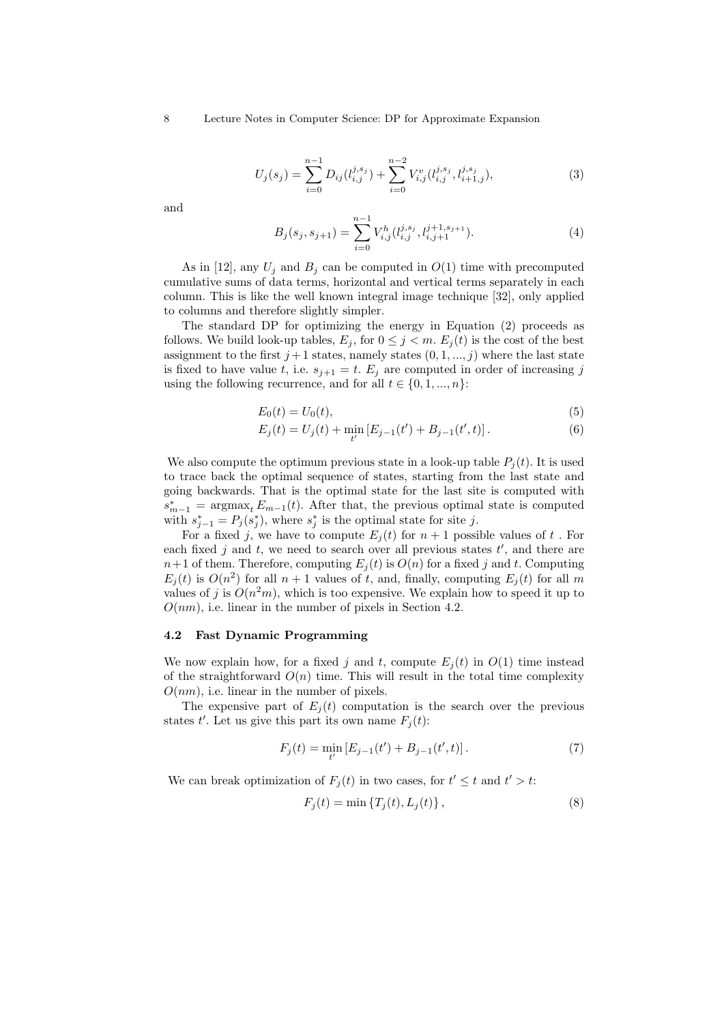$$
U_j(s_j) = \sum_{i=0}^{n-1} D_{ij}(l_{i,j}^{j,s_j}) + \sum_{i=0}^{n-2} V_{i,j}^v(l_{i,j}^{j,s_j}, l_{i+1,j}^{j,s_j}),
$$
\n(3)

and

$$
B_j(s_j, s_{j+1}) = \sum_{i=0}^{n-1} V_{i,j}^h(l_{i,j}^{j, s_j}, l_{i,j+1}^{j+1, s_{j+1}}).
$$
 (4)

As in [12], any  $U_j$  and  $B_j$  can be computed in  $O(1)$  time with precomputed cumulative sums of data terms, horizontal and vertical terms separately in each column. This is like the well known integral image technique [32], only applied to columns and therefore slightly simpler.

The standard DP for optimizing the energy in Equation (2) proceeds as follows. We build look-up tables,  $E_j$ , for  $0 \leq j \leq m$ .  $E_i(t)$  is the cost of the best assignment to the first  $j+1$  states, namely states  $(0, 1, ..., j)$  where the last state is fixed to have value t, i.e.  $s_{j+1} = t$ .  $E_j$  are computed in order of increasing j using the following recurrence, and for all  $t \in \{0, 1, ..., n\}$ :

$$
E_0(t) = U_0(t),
$$
\n(5)

$$
E_j(t) = U_j(t) + \min_{t'} \left[ E_{j-1}(t') + B_{j-1}(t',t) \right]. \tag{6}
$$

We also compute the optimum previous state in a look-up table  $P_i(t)$ . It is used to trace back the optimal sequence of states, starting from the last state and going backwards. That is the optimal state for the last site is computed with  $s_{m-1}^* = \operatorname{argmax}_t E_{m-1}(t)$ . After that, the previous optimal state is computed with  $s_{j-1}^* = P_j(s_j^*)$ , where  $s_j^*$  is the optimal state for site j.

For a fixed j, we have to compute  $E_j(t)$  for  $n+1$  possible values of t. For each fixed  $j$  and  $t$ , we need to search over all previous states  $t'$ , and there are  $n+1$  of them. Therefore, computing  $E_j(t)$  is  $O(n)$  for a fixed j and t. Computing  $E_j(t)$  is  $O(n^2)$  for all  $n+1$  values of t, and, finally, computing  $E_j(t)$  for all m values of j is  $O(n^2m)$ , which is too expensive. We explain how to speed it up to  $O(nm)$ , i.e. linear in the number of pixels in Section 4.2.

#### 4.2 Fast Dynamic Programming

We now explain how, for a fixed j and t, compute  $E_i(t)$  in  $O(1)$  time instead of the straightforward  $O(n)$  time. This will result in the total time complexity  $O(nm)$ , i.e. linear in the number of pixels.

The expensive part of  $E_i(t)$  computation is the search over the previous states t'. Let us give this part its own name  $F_j(t)$ :

$$
F_j(t) = \min_{t'} \left[ E_{j-1}(t') + B_{j-1}(t', t) \right]. \tag{7}
$$

We can break optimization of  $F_j(t)$  in two cases, for  $t' \leq t$  and  $t' > t$ :

$$
F_j(t) = \min \{ T_j(t), L_j(t) \},
$$
\n(8)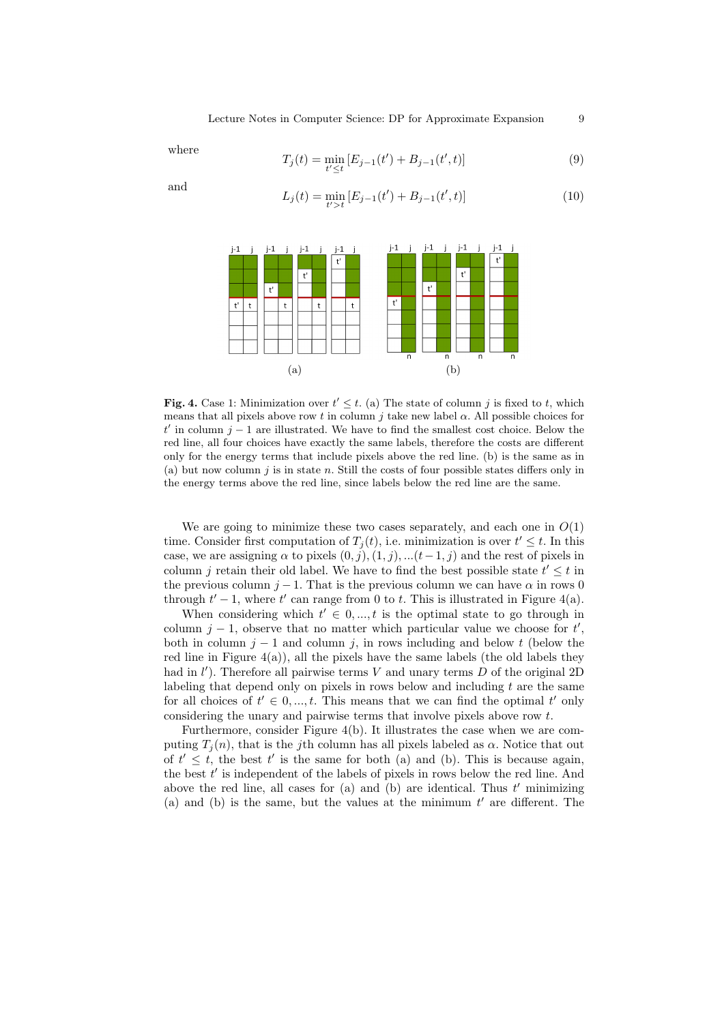where

$$
T_j(t) = \min_{t' \le t} \left[ E_{j-1}(t') + B_{j-1}(t', t) \right]
$$
\n(9)

and

$$
L_j(t) = \min_{t'>t} \left[ E_{j-1}(t') + B_{j-1}(t',t) \right]
$$
\n(10)



Fig. 4. Case 1: Minimization over  $t' \leq t$ . (a) The state of column j is fixed to t, which means that all pixels above row t in column j take new label  $\alpha$ . All possible choices for t' in column j – 1 are illustrated. We have to find the smallest cost choice. Below the red line, all four choices have exactly the same labels, therefore the costs are different only for the energy terms that include pixels above the red line. (b) is the same as in (a) but now column  $j$  is in state n. Still the costs of four possible states differs only in the energy terms above the red line, since labels below the red line are the same.

We are going to minimize these two cases separately, and each one in  $O(1)$ time. Consider first computation of  $T_j(t)$ , i.e. minimization is over  $t' \leq t$ . In this case, we are assigning  $\alpha$  to pixels  $(0, j), (1, j), ... (t-1, j)$  and the rest of pixels in column j retain their old label. We have to find the best possible state  $t' \leq t$  in the previous column  $j-1$ . That is the previous column we can have  $\alpha$  in rows 0 through  $t' - 1$ , where  $t'$  can range from 0 to t. This is illustrated in Figure 4(a).

When considering which  $t' \in 0, ..., t$  is the optimal state to go through in column  $j - 1$ , observe that no matter which particular value we choose for  $t'$ , both in column  $j - 1$  and column j, in rows including and below t (below the red line in Figure  $4(a)$ ), all the pixels have the same labels (the old labels they had in  $l'$ ). Therefore all pairwise terms  $V$  and unary terms  $D$  of the original 2D labeling that depend only on pixels in rows below and including  $t$  are the same for all choices of  $t' \in 0, ..., t$ . This means that we can find the optimal  $t'$  only considering the unary and pairwise terms that involve pixels above row t.

Furthermore, consider Figure 4(b). It illustrates the case when we are computing  $T_i(n)$ , that is the j<sup>th</sup> column has all pixels labeled as  $\alpha$ . Notice that out of  $t' \leq t$ , the best t' is the same for both (a) and (b). This is because again, the best  $t'$  is independent of the labels of pixels in rows below the red line. And above the red line, all cases for  $(a)$  and  $(b)$  are identical. Thus  $t'$  minimizing (a) and (b) is the same, but the values at the minimum  $t'$  are different. The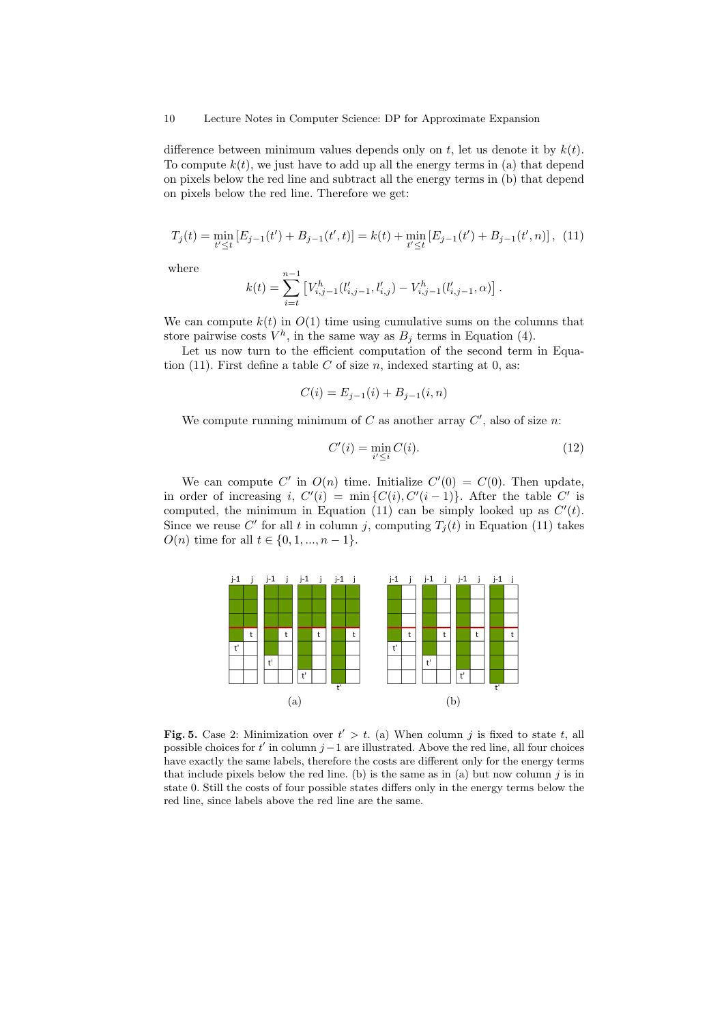difference between minimum values depends only on  $t$ , let us denote it by  $k(t)$ . To compute  $k(t)$ , we just have to add up all the energy terms in (a) that depend on pixels below the red line and subtract all the energy terms in (b) that depend on pixels below the red line. Therefore we get:

$$
T_j(t) = \min_{t' \le t} \left[ E_{j-1}(t') + B_{j-1}(t',t) \right] = k(t) + \min_{t' \le t} \left[ E_{j-1}(t') + B_{j-1}(t',n) \right], \tag{11}
$$

where

$$
k(t) = \sum_{i=t}^{n-1} \left[ V_{i,j-1}^h(l'_{i,j-1}, l'_{i,j}) - V_{i,j-1}^h(l'_{i,j-1}, \alpha) \right].
$$

We can compute  $k(t)$  in  $O(1)$  time using cumulative sums on the columns that store pairwise costs  $V^h$ , in the same way as  $B_j$  terms in Equation (4).

Let us now turn to the efficient computation of the second term in Equation (11). First define a table  $C$  of size  $n$ , indexed starting at 0, as:

$$
C(i) = E_{j-1}(i) + B_{j-1}(i, n)
$$

We compute running minimum of  $C$  as another array  $C'$ , also of size n:

$$
C'(i) = \min_{i' \le i} C(i). \tag{12}
$$

We can compute C' in  $O(n)$  time. Initialize  $C'(0) = C(0)$ . Then update, in order of increasing i,  $C'(i) = \min\{C(i), C'(i-1)\}\$ . After the table C' is computed, the minimum in Equation (11) can be simply looked up as  $C'(t)$ . Since we reuse C' for all t in column j, computing  $T_j(t)$  in Equation (11) takes  $O(n)$  time for all  $t \in \{0, 1, ..., n-1\}.$ 



Fig. 5. Case 2: Minimization over  $t' > t$ . (a) When column j is fixed to state t, all possible choices for t' in column j – 1 are illustrated. Above the red line, all four choices have exactly the same labels, therefore the costs are different only for the energy terms that include pixels below the red line. (b) is the same as in (a) but now column  $j$  is in state 0. Still the costs of four possible states differs only in the energy terms below the red line, since labels above the red line are the same.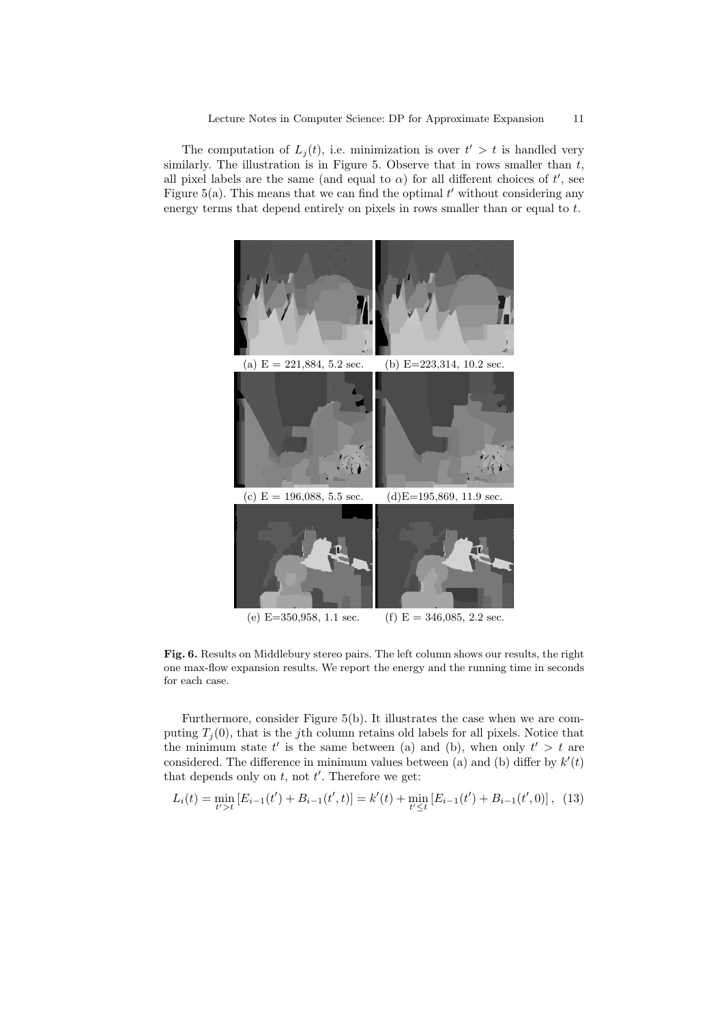The computation of  $L_j(t)$ , i.e. minimization is over  $t' > t$  is handled very similarly. The illustration is in Figure 5. Observe that in rows smaller than  $t$ , all pixel labels are the same (and equal to  $\alpha$ ) for all different choices of t', see Figure  $5(a)$ . This means that we can find the optimal  $t'$  without considering any energy terms that depend entirely on pixels in rows smaller than or equal to t.



Fig. 6. Results on Middlebury stereo pairs. The left column shows our results, the right one max-flow expansion results. We report the energy and the running time in seconds for each case.

Furthermore, consider Figure 5(b). It illustrates the case when we are computing  $T_i(0)$ , that is the jth column retains old labels for all pixels. Notice that the minimum state  $t'$  is the same between (a) and (b), when only  $t' > t$  are considered. The difference in minimum values between (a) and (b) differ by  $k'(t)$ that depends only on  $t$ , not  $t'$ . Therefore we get:

$$
L_i(t) = \min_{t' > t} \left[ E_{i-1}(t') + B_{i-1}(t', t) \right] = k'(t) + \min_{t' \le t} \left[ E_{i-1}(t') + B_{i-1}(t', 0) \right], \tag{13}
$$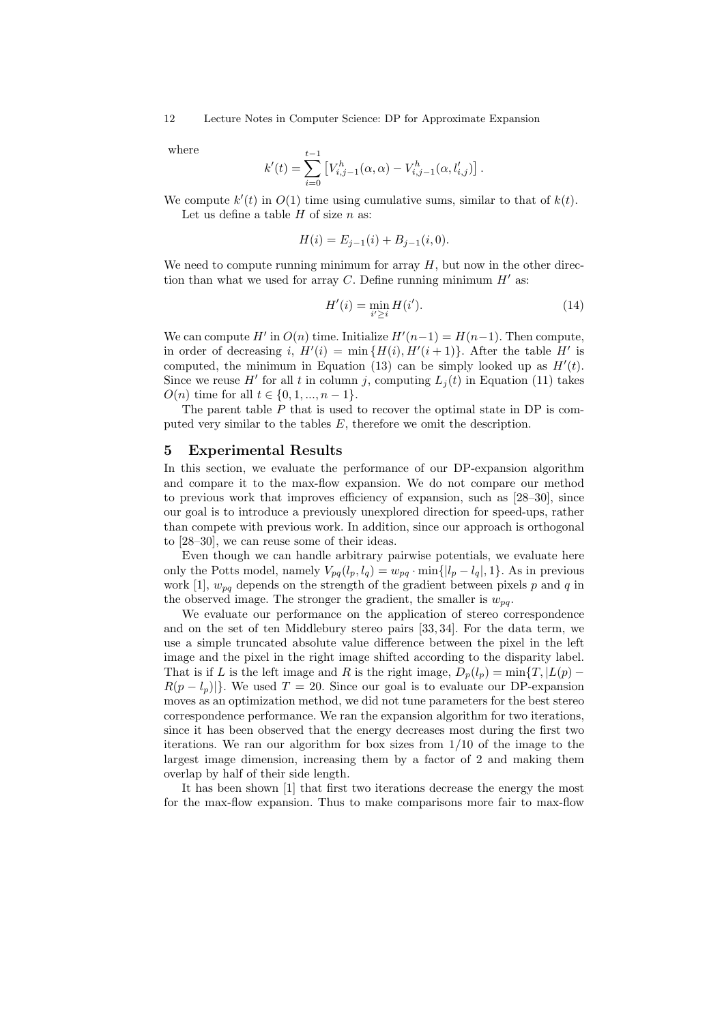where

$$
k'(t) = \sum_{i=0}^{t-1} \left[ V_{i,j-1}^h(\alpha, \alpha) - V_{i,j-1}^h(\alpha, l'_{i,j}) \right].
$$

We compute  $k'(t)$  in  $O(1)$  time using cumulative sums, similar to that of  $k(t)$ . Let us define a table  $H$  of size  $n$  as:

$$
H(i) = E_{j-1}(i) + B_{j-1}(i, 0).
$$

We need to compute running minimum for array  $H$ , but now in the other direction than what we used for array C. Define running minimum  $H'$  as:

$$
H'(i) = \min_{i' \ge i} H(i').
$$
 (14)

We can compute  $H'$  in  $O(n)$  time. Initialize  $H'(n-1) = H(n-1)$ . Then compute, in order of decreasing i,  $H'(i) = \min \{H(i), H'(i+1)\}\$ . After the table H' is computed, the minimum in Equation (13) can be simply looked up as  $H'(t)$ . Since we reuse H' for all t in column j, computing  $L_j(t)$  in Equation (11) takes  $O(n)$  time for all  $t \in \{0, 1, ..., n-1\}.$ 

The parent table  $P$  that is used to recover the optimal state in DP is computed very similar to the tables  $E$ , therefore we omit the description.

#### 5 Experimental Results

In this section, we evaluate the performance of our DP-expansion algorithm and compare it to the max-flow expansion. We do not compare our method to previous work that improves efficiency of expansion, such as [28–30], since our goal is to introduce a previously unexplored direction for speed-ups, rather than compete with previous work. In addition, since our approach is orthogonal to [28–30], we can reuse some of their ideas.

Even though we can handle arbitrary pairwise potentials, we evaluate here only the Potts model, namely  $V_{pq}(l_p, l_q) = w_{pq} \cdot \min\{|l_p - l_q|, 1\}$ . As in previous work [1],  $w_{pq}$  depends on the strength of the gradient between pixels p and q in the observed image. The stronger the gradient, the smaller is  $w_{na}$ .

We evaluate our performance on the application of stereo correspondence and on the set of ten Middlebury stereo pairs [33, 34]. For the data term, we use a simple truncated absolute value difference between the pixel in the left image and the pixel in the right image shifted according to the disparity label. That is if L is the left image and R is the right image,  $D_p(l_p) = \min\{T, |L(p) - p| \}$  $R(p - l_p)|$ . We used  $T = 20$ . Since our goal is to evaluate our DP-expansion moves as an optimization method, we did not tune parameters for the best stereo correspondence performance. We ran the expansion algorithm for two iterations, since it has been observed that the energy decreases most during the first two iterations. We ran our algorithm for box sizes from 1/10 of the image to the largest image dimension, increasing them by a factor of 2 and making them overlap by half of their side length.

It has been shown [1] that first two iterations decrease the energy the most for the max-flow expansion. Thus to make comparisons more fair to max-flow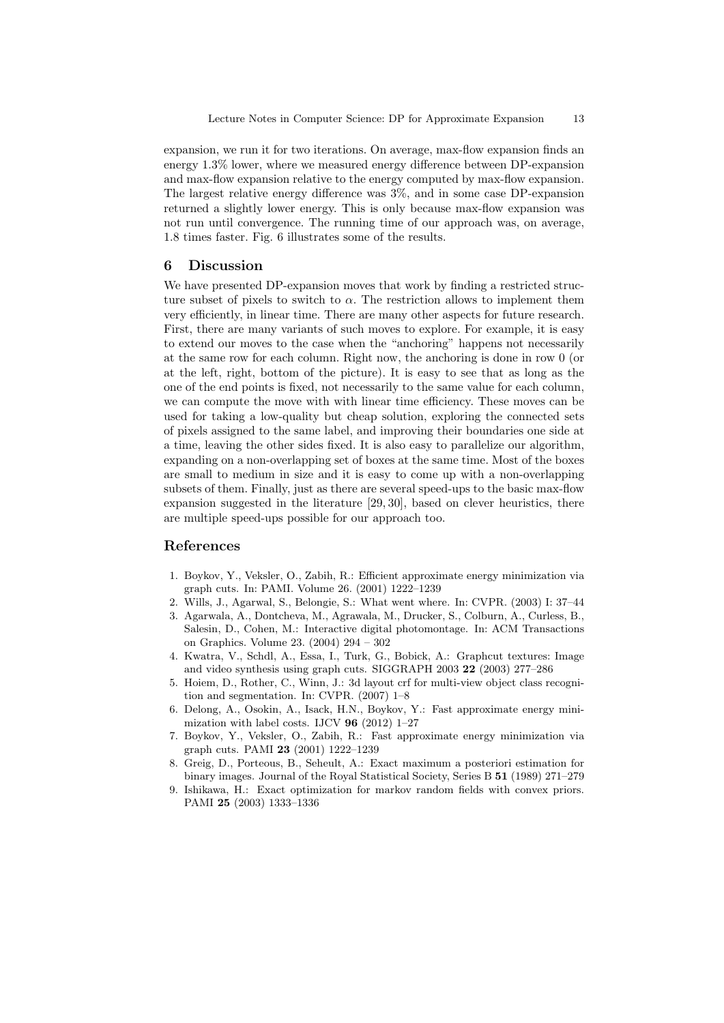expansion, we run it for two iterations. On average, max-flow expansion finds an energy 1.3% lower, where we measured energy difference between DP-expansion and max-flow expansion relative to the energy computed by max-flow expansion. The largest relative energy difference was 3%, and in some case DP-expansion returned a slightly lower energy. This is only because max-flow expansion was not run until convergence. The running time of our approach was, on average, 1.8 times faster. Fig. 6 illustrates some of the results.

## 6 Discussion

We have presented DP-expansion moves that work by finding a restricted structure subset of pixels to switch to  $\alpha$ . The restriction allows to implement them very efficiently, in linear time. There are many other aspects for future research. First, there are many variants of such moves to explore. For example, it is easy to extend our moves to the case when the "anchoring" happens not necessarily at the same row for each column. Right now, the anchoring is done in row 0 (or at the left, right, bottom of the picture). It is easy to see that as long as the one of the end points is fixed, not necessarily to the same value for each column, we can compute the move with with linear time efficiency. These moves can be used for taking a low-quality but cheap solution, exploring the connected sets of pixels assigned to the same label, and improving their boundaries one side at a time, leaving the other sides fixed. It is also easy to parallelize our algorithm, expanding on a non-overlapping set of boxes at the same time. Most of the boxes are small to medium in size and it is easy to come up with a non-overlapping subsets of them. Finally, just as there are several speed-ups to the basic max-flow expansion suggested in the literature [29, 30], based on clever heuristics, there are multiple speed-ups possible for our approach too.

## References

- 1. Boykov, Y., Veksler, O., Zabih, R.: Efficient approximate energy minimization via graph cuts. In: PAMI. Volume 26. (2001) 1222–1239
- 2. Wills, J., Agarwal, S., Belongie, S.: What went where. In: CVPR. (2003) I: 37–44
- 3. Agarwala, A., Dontcheva, M., Agrawala, M., Drucker, S., Colburn, A., Curless, B., Salesin, D., Cohen, M.: Interactive digital photomontage. In: ACM Transactions on Graphics. Volume 23. (2004) 294 – 302
- 4. Kwatra, V., Schdl, A., Essa, I., Turk, G., Bobick, A.: Graphcut textures: Image and video synthesis using graph cuts. SIGGRAPH 2003 22 (2003) 277–286
- 5. Hoiem, D., Rother, C., Winn, J.: 3d layout crf for multi-view object class recognition and segmentation. In: CVPR. (2007) 1–8
- 6. Delong, A., Osokin, A., Isack, H.N., Boykov, Y.: Fast approximate energy minimization with label costs. IJCV  $96$  (2012) 1–27
- 7. Boykov, Y., Veksler, O., Zabih, R.: Fast approximate energy minimization via graph cuts. PAMI 23 (2001) 1222–1239
- 8. Greig, D., Porteous, B., Seheult, A.: Exact maximum a posteriori estimation for binary images. Journal of the Royal Statistical Society, Series B 51 (1989) 271–279
- 9. Ishikawa, H.: Exact optimization for markov random fields with convex priors. PAMI 25 (2003) 1333–1336